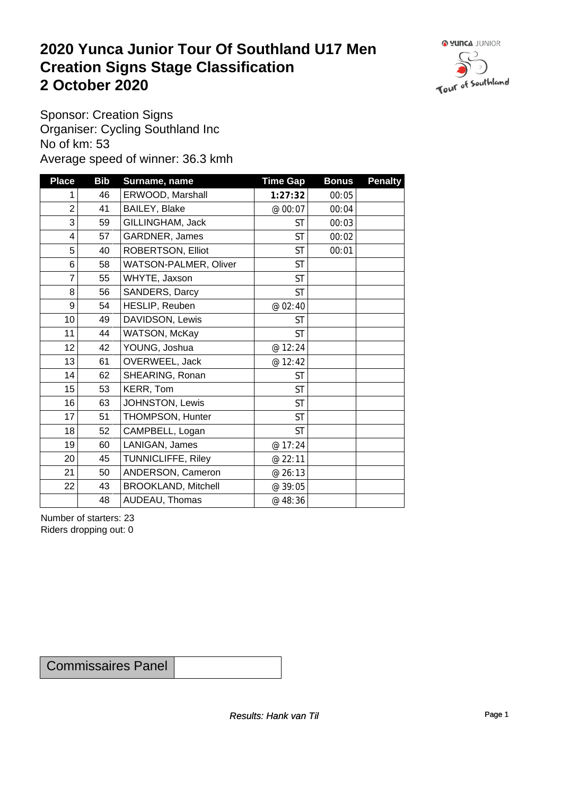### **2020 Yunca Junior Tour Of Southland U17 Men Creation Signs Stage Classification**<br>
2 October 2020 **2 October 2020**



Sponsor: Creation Signs Organiser: Cycling Southland Inc No of km: 53 Average speed of winner: 36.3 kmh

| <b>Place</b>    | <b>Bib</b> | Surname, name              | <b>Time Gap</b> | <b>Bonus</b> | <b>Penalty</b> |
|-----------------|------------|----------------------------|-----------------|--------------|----------------|
| 1               | 46         | ERWOOD, Marshall           | 1:27:32         | 00:05        |                |
| $\overline{2}$  | 41         | BAILEY, Blake              | @ 00:07         | 00:04        |                |
| 3               | 59         | GILLINGHAM, Jack           | ST              | 00:03        |                |
| $\overline{4}$  | 57         | GARDNER, James             | <b>ST</b>       | 00:02        |                |
| 5               | 40         | ROBERTSON, Elliot          | <b>ST</b>       | 00:01        |                |
| 6               | 58         | WATSON-PALMER, Oliver      | <b>ST</b>       |              |                |
| $\overline{7}$  | 55         | WHYTE, Jaxson              | <b>ST</b>       |              |                |
| 8               | 56         | SANDERS, Darcy             | <b>ST</b>       |              |                |
| 9               | 54         | HESLIP, Reuben             | @ 02:40         |              |                |
| 10 <sup>1</sup> | 49         | DAVIDSON, Lewis            | <b>ST</b>       |              |                |
| 11              | 44         | WATSON, McKay              | <b>ST</b>       |              |                |
| 12              | 42         | YOUNG, Joshua              | @ 12:24         |              |                |
| 13              | 61         | OVERWEEL, Jack             | @ 12:42         |              |                |
| 14              | 62         | SHEARING, Ronan            | <b>ST</b>       |              |                |
| 15              | 53         | KERR, Tom                  | <b>ST</b>       |              |                |
| 16              | 63         | JOHNSTON, Lewis            | <b>ST</b>       |              |                |
| 17              | 51         | THOMPSON, Hunter           | <b>ST</b>       |              |                |
| 18              | 52         | CAMPBELL, Logan            | <b>ST</b>       |              |                |
| 19              | 60         | LANIGAN, James             | @ 17:24         |              |                |
| 20              | 45         | TUNNICLIFFE, Riley         | @ 22:11         |              |                |
| 21              | 50         | ANDERSON, Cameron          | @ 26:13         |              |                |
| 22              | 43         | <b>BROOKLAND, Mitchell</b> | @ 39:05         |              |                |
|                 | 48         | AUDEAU, Thomas             | @ 48:36         |              |                |

Number of starters: 23 Riders dropping out: 0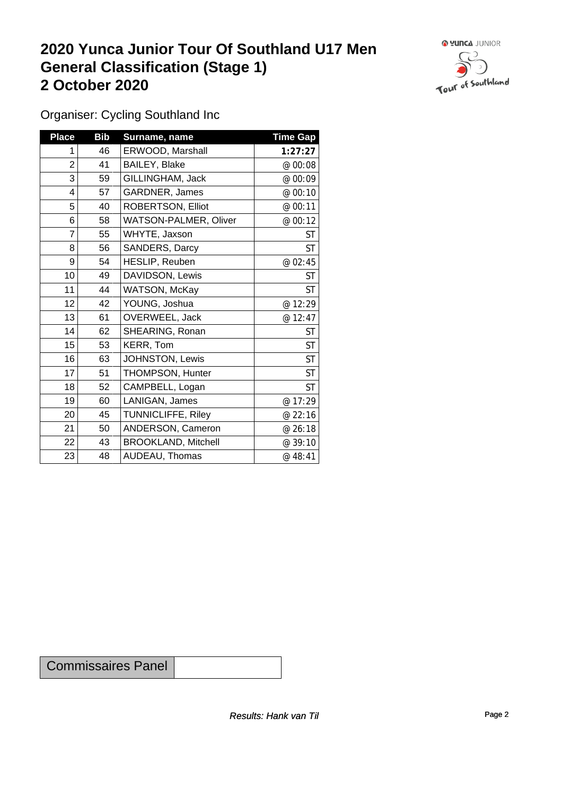## **2020 Yunca Junior Tour Of Southland U17 Men General Classification (Stage 1)**<br>
2 October 2020 **2 October 2020**



Organiser: Cycling Southland Inc

| <b>Place</b>   | <b>Bib</b> | Surname, name              | <b>Time Gap</b> |
|----------------|------------|----------------------------|-----------------|
| 1              | 46         | ERWOOD, Marshall           | 1:27:27         |
| $\overline{c}$ | 41         | BAILEY, Blake              | @ 00:08         |
| 3              | 59         | GILLINGHAM, Jack           | @ 00:09         |
| 4              | 57         | GARDNER, James             | @ 00:10         |
| 5              | 40         | ROBERTSON, Elliot          | @ 00:11         |
| 6              | 58         | WATSON-PALMER, Oliver      | @ 00:12         |
| 7              | 55         | WHYTE, Jaxson              | <b>ST</b>       |
| 8              | 56         | SANDERS, Darcy             | <b>ST</b>       |
| 9              | 54         | HESLIP, Reuben             | @ 02:45         |
| 10             | 49         | DAVIDSON, Lewis            | <b>ST</b>       |
| 11             | 44         | WATSON, McKay              | <b>ST</b>       |
| 12             | 42         | YOUNG, Joshua              | @ 12:29         |
| 13             | 61         | OVERWEEL, Jack             | @ 12:47         |
| 14             | 62         | SHEARING, Ronan            | <b>ST</b>       |
| 15             | 53         | KERR, Tom                  | <b>ST</b>       |
| 16             | 63         | JOHNSTON, Lewis            | <b>ST</b>       |
| 17             | 51         | THOMPSON, Hunter           | <b>ST</b>       |
| 18             | 52         | CAMPBELL, Logan            | <b>ST</b>       |
| 19             | 60         | LANIGAN, James             | @ 17:29         |
| 20             | 45         | TUNNICLIFFE, Riley         | @ 22:16         |
| 21             | 50         | ANDERSON, Cameron          | @ 26:18         |
| 22             | 43         | <b>BROOKLAND, Mitchell</b> | @ 39:10         |
| 23             | 48         | AUDEAU, Thomas             | @ 48:41         |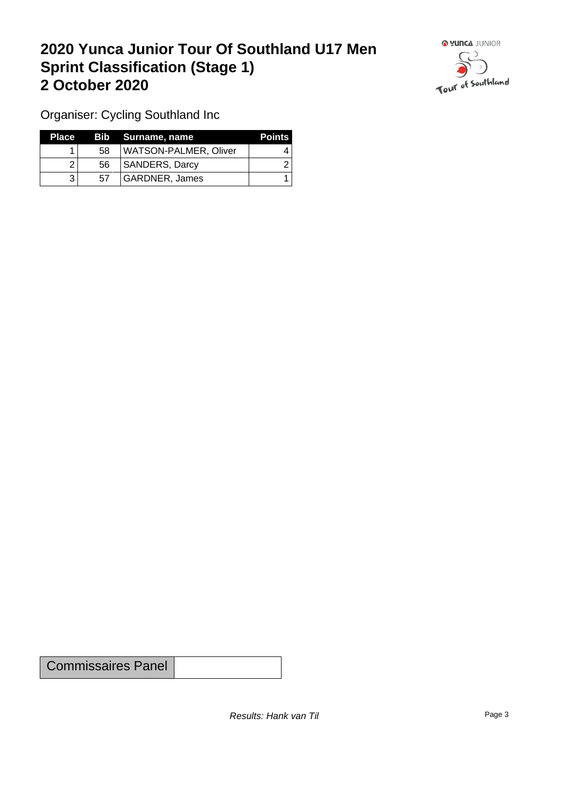## **2020 Yunca Junior Tour Of Southland U17 Men Sprint Classification (Stage 1) 2 October 2020**



Organiser: Cycling Southland Inc

| <b>Place</b> |    | Bib Surname, name            | <b>Points</b> |
|--------------|----|------------------------------|---------------|
|              | 58 | <b>WATSON-PALMER, Oliver</b> |               |
|              | 56 | SANDERS, Darcy               |               |
|              | 57 | GARDNER. James               |               |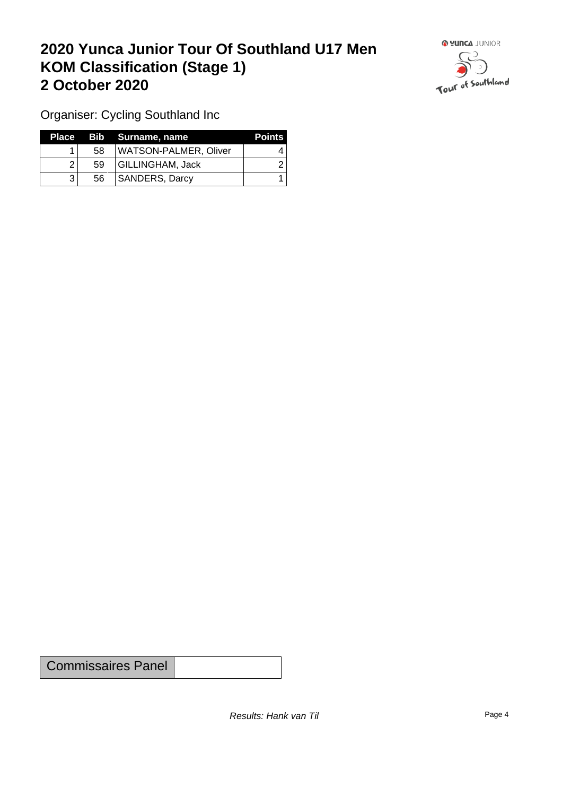## **2020 Yunca Junior Tour Of Southland U17 Men KOM Classification (Stage 1) 2 October 2020**



Organiser: Cycling Southland Inc

| Place T |    | Bib Surname, name     | <b>Points</b> |
|---------|----|-----------------------|---------------|
|         | 58 | WATSON-PALMER, Oliver |               |
|         | 59 | GILLINGHAM, Jack      |               |
|         | 56 | <b>SANDERS, Darcy</b> |               |